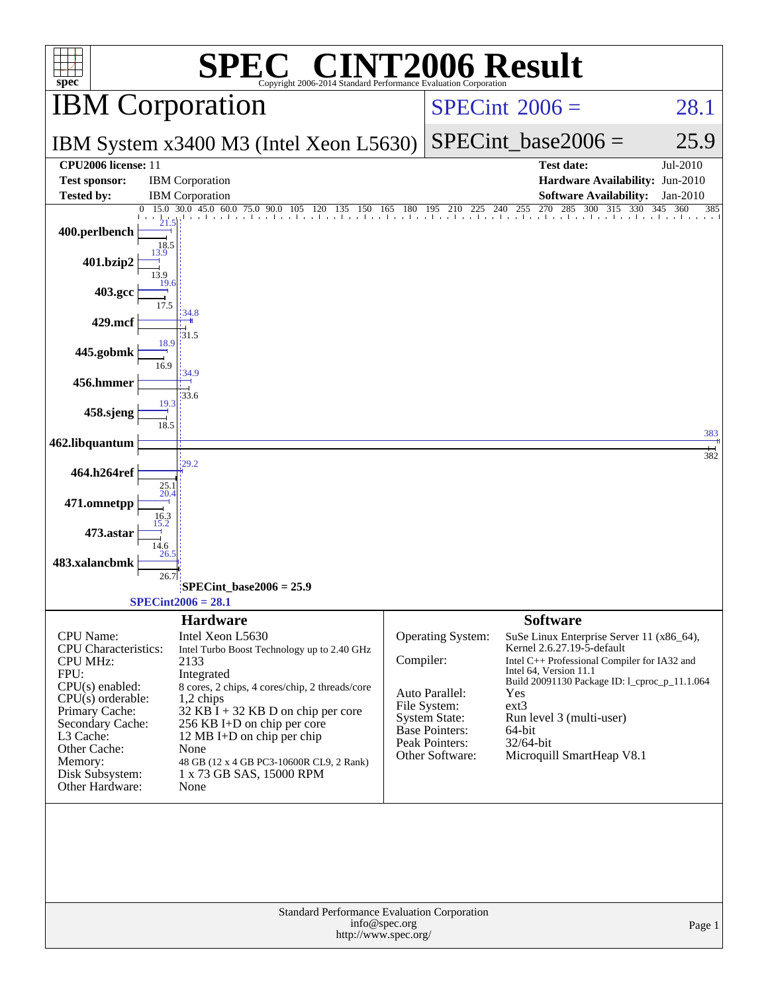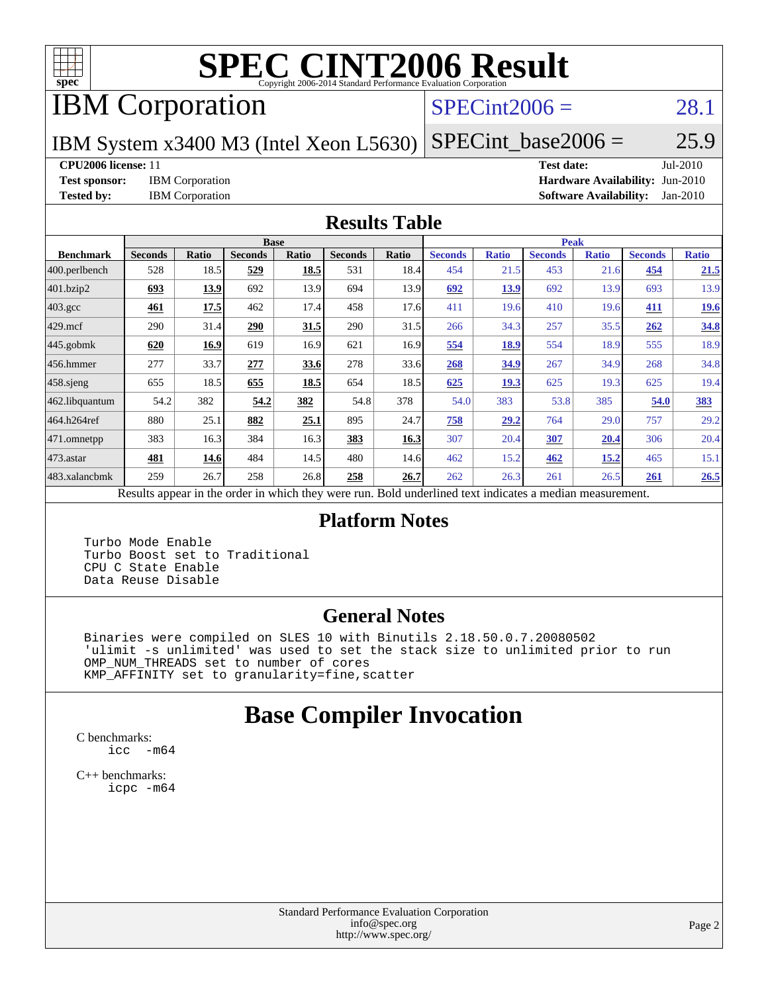

# **[SPEC CINT2006 Result](http://www.spec.org/auto/cpu2006/Docs/result-fields.html#SPECCINT2006Result)**

# IBM Corporation

### $SPECint2006 = 28.1$  $SPECint2006 = 28.1$

IBM System x3400 M3 (Intel Xeon L5630)

 $SPECTnt\_base2006 = 25.9$ 

#### **[CPU2006 license:](http://www.spec.org/auto/cpu2006/Docs/result-fields.html#CPU2006license)** 11 **[Test date:](http://www.spec.org/auto/cpu2006/Docs/result-fields.html#Testdate)** Jul-2010

**[Test sponsor:](http://www.spec.org/auto/cpu2006/Docs/result-fields.html#Testsponsor)** IBM Corporation **[Hardware Availability:](http://www.spec.org/auto/cpu2006/Docs/result-fields.html#HardwareAvailability)** Jun-2010 **[Tested by:](http://www.spec.org/auto/cpu2006/Docs/result-fields.html#Testedby)** IBM Corporation **[Software Availability:](http://www.spec.org/auto/cpu2006/Docs/result-fields.html#SoftwareAvailability)** Jan-2010

#### **[Results Table](http://www.spec.org/auto/cpu2006/Docs/result-fields.html#ResultsTable)**

|                    |                |       |                                                              | <b>Base</b> |                |       |                                                     |              | <b>Peak</b>    |              |                |              |
|--------------------|----------------|-------|--------------------------------------------------------------|-------------|----------------|-------|-----------------------------------------------------|--------------|----------------|--------------|----------------|--------------|
| <b>Benchmark</b>   | <b>Seconds</b> | Ratio | <b>Seconds</b>                                               | Ratio       | <b>Seconds</b> | Ratio | <b>Seconds</b>                                      | <b>Ratio</b> | <b>Seconds</b> | <b>Ratio</b> | <b>Seconds</b> | <b>Ratio</b> |
| $ 400$ .perlbench  | 528            | 18.5  | 529                                                          | 18.5        | 531            | 18.4  | 454                                                 | 21.5         | 453            | 21.6         | 454            | 21.5         |
| 401.bzip2          | 693            | 13.9  | 692                                                          | 13.9        | 694            | 13.9  | 692                                                 | 13.9         | 692            | 13.9         | 693            | 13.9         |
| $403.\mathrm{gcc}$ | 461            | 17.5  | 462                                                          | 17.4        | 458            | 17.6  | 411                                                 | 19.6         | 410            | 19.6         | 411            | 19.6         |
| $429$ .mcf         | 290            | 31.4  | 290                                                          | 31.5        | 290            | 31.5  | 266                                                 | 34.3         | 257            | 35.5         | 262            | 34.8         |
| $445$ .gobmk       | 620            | 16.9  | 619                                                          | 16.9        | 621            | 16.9  | 554                                                 | 18.9         | 554            | 18.9         | 555            | 18.9         |
| 456.hmmer          | 277            | 33.7  | 277                                                          | 33.6        | 278            | 33.6  | 268                                                 | 34.9         | 267            | 34.9         | 268            | 34.8         |
| $458$ .sjeng       | 655            | 18.5  | 655                                                          | 18.5        | 654            | 18.5  | 625                                                 | <b>19.3</b>  | 625            | 19.3         | 625            | 19.4         |
| 462.libquantum     | 54.2           | 382   | 54.2                                                         | 382         | 54.8           | 378   | 54.0                                                | 383          | 53.8           | 385          | 54.0           | 383          |
| 464.h264ref        | 880            | 25.1  | 882                                                          | 25.1        | 895            | 24.7  | 758                                                 | 29.2         | 764            | 29.0         | 757            | 29.2         |
| 471.omnetpp        | 383            | 16.3  | 384                                                          | 16.3        | 383            | 16.3  | 307                                                 | 20.4         | <b>307</b>     | <u>20.4</u>  | 306            | 20.4         |
| $473$ . astar      | 481            | 14.6  | 484                                                          | 14.5        | 480            | 14.6  | 462                                                 | 15.2         | 462            | 15.2         | 465            | 15.1         |
| 483.xalancbmk      | 259            | 26.7  | 258                                                          | 26.8        | 258            | 26.7  | 262                                                 | 26.3         | 261            | 26.5         | 261            | 26.5         |
|                    | $D = 140$      |       | المتحمل ومتحدث بجحافة والمكافئة وبالمستر والمستراة والارامية |             |                |       | Deld and called to all the total control of models. |              |                |              |                |              |

Results appear in the [order in which they were run.](http://www.spec.org/auto/cpu2006/Docs/result-fields.html#RunOrder) Bold underlined text [indicates a median measurement.](http://www.spec.org/auto/cpu2006/Docs/result-fields.html#Median)

#### **[Platform Notes](http://www.spec.org/auto/cpu2006/Docs/result-fields.html#PlatformNotes)**

 Turbo Mode Enable Turbo Boost set to Traditional CPU C State Enable Data Reuse Disable

#### **[General Notes](http://www.spec.org/auto/cpu2006/Docs/result-fields.html#GeneralNotes)**

 Binaries were compiled on SLES 10 with Binutils 2.18.50.0.7.20080502 'ulimit -s unlimited' was used to set the stack size to unlimited prior to run OMP\_NUM\_THREADS set to number of cores KMP\_AFFINITY set to granularity=fine,scatter

## **[Base Compiler Invocation](http://www.spec.org/auto/cpu2006/Docs/result-fields.html#BaseCompilerInvocation)**

[C benchmarks](http://www.spec.org/auto/cpu2006/Docs/result-fields.html#Cbenchmarks): [icc -m64](http://www.spec.org/cpu2006/results/res2010q3/cpu2006-20100802-12722.flags.html#user_CCbase_intel_icc_64bit_f346026e86af2a669e726fe758c88044)

[C++ benchmarks:](http://www.spec.org/auto/cpu2006/Docs/result-fields.html#CXXbenchmarks) [icpc -m64](http://www.spec.org/cpu2006/results/res2010q3/cpu2006-20100802-12722.flags.html#user_CXXbase_intel_icpc_64bit_fc66a5337ce925472a5c54ad6a0de310)

> Standard Performance Evaluation Corporation [info@spec.org](mailto:info@spec.org) <http://www.spec.org/>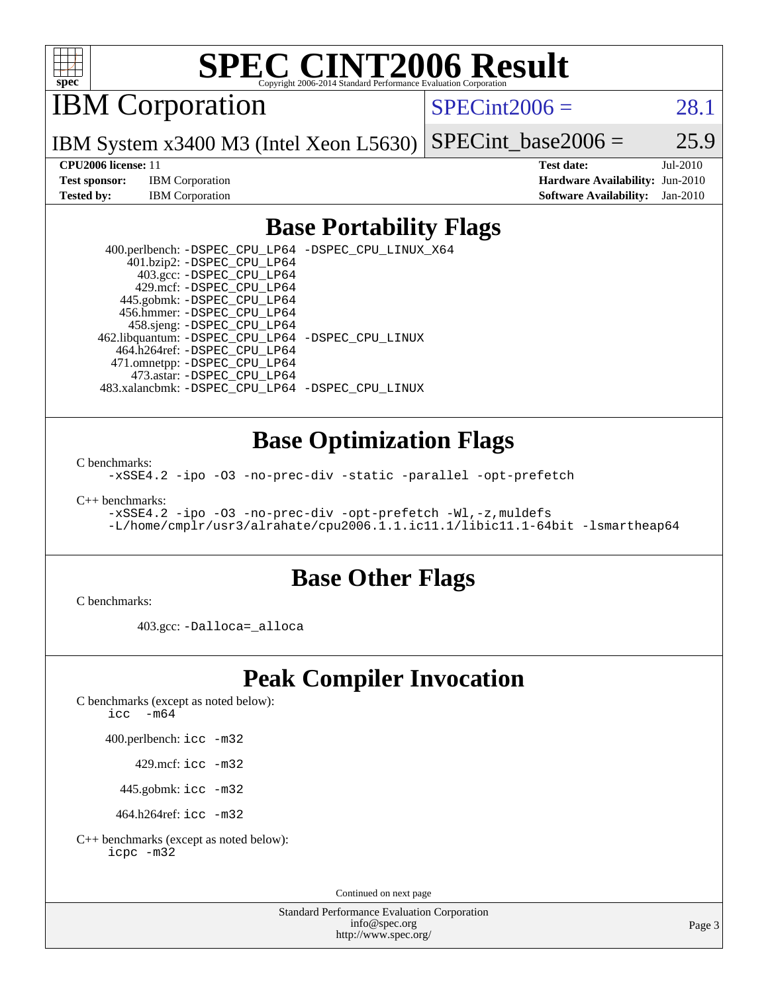

# **[SPEC CINT2006 Result](http://www.spec.org/auto/cpu2006/Docs/result-fields.html#SPECCINT2006Result)**

IBM Corporation

 $SPECint2006 = 28.1$  $SPECint2006 = 28.1$ 

IBM System x3400 M3 (Intel Xeon L5630) SPECint base2006 =  $25.9$ 

**[Test sponsor:](http://www.spec.org/auto/cpu2006/Docs/result-fields.html#Testsponsor)** IBM Corporation **[Hardware Availability:](http://www.spec.org/auto/cpu2006/Docs/result-fields.html#HardwareAvailability)** Jun-2010

**[CPU2006 license:](http://www.spec.org/auto/cpu2006/Docs/result-fields.html#CPU2006license)** 11 **[Test date:](http://www.spec.org/auto/cpu2006/Docs/result-fields.html#Testdate)** Jul-2010 **[Tested by:](http://www.spec.org/auto/cpu2006/Docs/result-fields.html#Testedby)** IBM Corporation **[Software Availability:](http://www.spec.org/auto/cpu2006/Docs/result-fields.html#SoftwareAvailability)** Jan-2010

### **[Base Portability Flags](http://www.spec.org/auto/cpu2006/Docs/result-fields.html#BasePortabilityFlags)**

 400.perlbench: [-DSPEC\\_CPU\\_LP64](http://www.spec.org/cpu2006/results/res2010q3/cpu2006-20100802-12722.flags.html#b400.perlbench_basePORTABILITY_DSPEC_CPU_LP64) [-DSPEC\\_CPU\\_LINUX\\_X64](http://www.spec.org/cpu2006/results/res2010q3/cpu2006-20100802-12722.flags.html#b400.perlbench_baseCPORTABILITY_DSPEC_CPU_LINUX_X64) 401.bzip2: [-DSPEC\\_CPU\\_LP64](http://www.spec.org/cpu2006/results/res2010q3/cpu2006-20100802-12722.flags.html#suite_basePORTABILITY401_bzip2_DSPEC_CPU_LP64) 403.gcc: [-DSPEC\\_CPU\\_LP64](http://www.spec.org/cpu2006/results/res2010q3/cpu2006-20100802-12722.flags.html#suite_basePORTABILITY403_gcc_DSPEC_CPU_LP64) 429.mcf: [-DSPEC\\_CPU\\_LP64](http://www.spec.org/cpu2006/results/res2010q3/cpu2006-20100802-12722.flags.html#suite_basePORTABILITY429_mcf_DSPEC_CPU_LP64) 445.gobmk: [-DSPEC\\_CPU\\_LP64](http://www.spec.org/cpu2006/results/res2010q3/cpu2006-20100802-12722.flags.html#suite_basePORTABILITY445_gobmk_DSPEC_CPU_LP64) 456.hmmer: [-DSPEC\\_CPU\\_LP64](http://www.spec.org/cpu2006/results/res2010q3/cpu2006-20100802-12722.flags.html#suite_basePORTABILITY456_hmmer_DSPEC_CPU_LP64) 458.sjeng: [-DSPEC\\_CPU\\_LP64](http://www.spec.org/cpu2006/results/res2010q3/cpu2006-20100802-12722.flags.html#suite_basePORTABILITY458_sjeng_DSPEC_CPU_LP64) 462.libquantum: [-DSPEC\\_CPU\\_LP64](http://www.spec.org/cpu2006/results/res2010q3/cpu2006-20100802-12722.flags.html#suite_basePORTABILITY462_libquantum_DSPEC_CPU_LP64) [-DSPEC\\_CPU\\_LINUX](http://www.spec.org/cpu2006/results/res2010q3/cpu2006-20100802-12722.flags.html#b462.libquantum_baseCPORTABILITY_DSPEC_CPU_LINUX) 464.h264ref: [-DSPEC\\_CPU\\_LP64](http://www.spec.org/cpu2006/results/res2010q3/cpu2006-20100802-12722.flags.html#suite_basePORTABILITY464_h264ref_DSPEC_CPU_LP64) 471.omnetpp: [-DSPEC\\_CPU\\_LP64](http://www.spec.org/cpu2006/results/res2010q3/cpu2006-20100802-12722.flags.html#suite_basePORTABILITY471_omnetpp_DSPEC_CPU_LP64) 473.astar: [-DSPEC\\_CPU\\_LP64](http://www.spec.org/cpu2006/results/res2010q3/cpu2006-20100802-12722.flags.html#suite_basePORTABILITY473_astar_DSPEC_CPU_LP64) 483.xalancbmk: [-DSPEC\\_CPU\\_LP64](http://www.spec.org/cpu2006/results/res2010q3/cpu2006-20100802-12722.flags.html#suite_basePORTABILITY483_xalancbmk_DSPEC_CPU_LP64) [-DSPEC\\_CPU\\_LINUX](http://www.spec.org/cpu2006/results/res2010q3/cpu2006-20100802-12722.flags.html#b483.xalancbmk_baseCXXPORTABILITY_DSPEC_CPU_LINUX)

### **[Base Optimization Flags](http://www.spec.org/auto/cpu2006/Docs/result-fields.html#BaseOptimizationFlags)**

[C benchmarks](http://www.spec.org/auto/cpu2006/Docs/result-fields.html#Cbenchmarks):

[-xSSE4.2](http://www.spec.org/cpu2006/results/res2010q3/cpu2006-20100802-12722.flags.html#user_CCbase_f-xSSE42_f91528193cf0b216347adb8b939d4107) [-ipo](http://www.spec.org/cpu2006/results/res2010q3/cpu2006-20100802-12722.flags.html#user_CCbase_f-ipo) [-O3](http://www.spec.org/cpu2006/results/res2010q3/cpu2006-20100802-12722.flags.html#user_CCbase_f-O3) [-no-prec-div](http://www.spec.org/cpu2006/results/res2010q3/cpu2006-20100802-12722.flags.html#user_CCbase_f-no-prec-div) [-static](http://www.spec.org/cpu2006/results/res2010q3/cpu2006-20100802-12722.flags.html#user_CCbase_f-static) [-parallel](http://www.spec.org/cpu2006/results/res2010q3/cpu2006-20100802-12722.flags.html#user_CCbase_f-parallel) [-opt-prefetch](http://www.spec.org/cpu2006/results/res2010q3/cpu2006-20100802-12722.flags.html#user_CCbase_f-opt-prefetch)

[C++ benchmarks:](http://www.spec.org/auto/cpu2006/Docs/result-fields.html#CXXbenchmarks)

[-xSSE4.2](http://www.spec.org/cpu2006/results/res2010q3/cpu2006-20100802-12722.flags.html#user_CXXbase_f-xSSE42_f91528193cf0b216347adb8b939d4107) [-ipo](http://www.spec.org/cpu2006/results/res2010q3/cpu2006-20100802-12722.flags.html#user_CXXbase_f-ipo) [-O3](http://www.spec.org/cpu2006/results/res2010q3/cpu2006-20100802-12722.flags.html#user_CXXbase_f-O3) [-no-prec-div](http://www.spec.org/cpu2006/results/res2010q3/cpu2006-20100802-12722.flags.html#user_CXXbase_f-no-prec-div) [-opt-prefetch](http://www.spec.org/cpu2006/results/res2010q3/cpu2006-20100802-12722.flags.html#user_CXXbase_f-opt-prefetch) [-Wl,-z,muldefs](http://www.spec.org/cpu2006/results/res2010q3/cpu2006-20100802-12722.flags.html#user_CXXbase_link_force_multiple1_74079c344b956b9658436fd1b6dd3a8a) [-L/home/cmplr/usr3/alrahate/cpu2006.1.1.ic11.1/libic11.1-64bit -lsmartheap64](http://www.spec.org/cpu2006/results/res2010q3/cpu2006-20100802-12722.flags.html#user_CXXbase_SmartHeap64_e2306cda84805d1ab360117a79ff779c)

#### **[Base Other Flags](http://www.spec.org/auto/cpu2006/Docs/result-fields.html#BaseOtherFlags)**

[C benchmarks](http://www.spec.org/auto/cpu2006/Docs/result-fields.html#Cbenchmarks):

403.gcc: [-Dalloca=\\_alloca](http://www.spec.org/cpu2006/results/res2010q3/cpu2006-20100802-12722.flags.html#b403.gcc_baseEXTRA_CFLAGS_Dalloca_be3056838c12de2578596ca5467af7f3)

## **[Peak Compiler Invocation](http://www.spec.org/auto/cpu2006/Docs/result-fields.html#PeakCompilerInvocation)**

[C benchmarks \(except as noted below\)](http://www.spec.org/auto/cpu2006/Docs/result-fields.html#Cbenchmarksexceptasnotedbelow):

icc  $-m64$ 

400.perlbench: [icc -m32](http://www.spec.org/cpu2006/results/res2010q3/cpu2006-20100802-12722.flags.html#user_peakCCLD400_perlbench_intel_icc_32bit_a6a621f8d50482236b970c6ac5f55f93)

429.mcf: [icc -m32](http://www.spec.org/cpu2006/results/res2010q3/cpu2006-20100802-12722.flags.html#user_peakCCLD429_mcf_intel_icc_32bit_a6a621f8d50482236b970c6ac5f55f93)

445.gobmk: [icc -m32](http://www.spec.org/cpu2006/results/res2010q3/cpu2006-20100802-12722.flags.html#user_peakCCLD445_gobmk_intel_icc_32bit_a6a621f8d50482236b970c6ac5f55f93)

464.h264ref: [icc -m32](http://www.spec.org/cpu2006/results/res2010q3/cpu2006-20100802-12722.flags.html#user_peakCCLD464_h264ref_intel_icc_32bit_a6a621f8d50482236b970c6ac5f55f93)

[C++ benchmarks \(except as noted below\):](http://www.spec.org/auto/cpu2006/Docs/result-fields.html#CXXbenchmarksexceptasnotedbelow) [icpc -m32](http://www.spec.org/cpu2006/results/res2010q3/cpu2006-20100802-12722.flags.html#user_CXXpeak_intel_icpc_32bit_4e5a5ef1a53fd332b3c49e69c3330699)

Continued on next page

Standard Performance Evaluation Corporation [info@spec.org](mailto:info@spec.org) <http://www.spec.org/>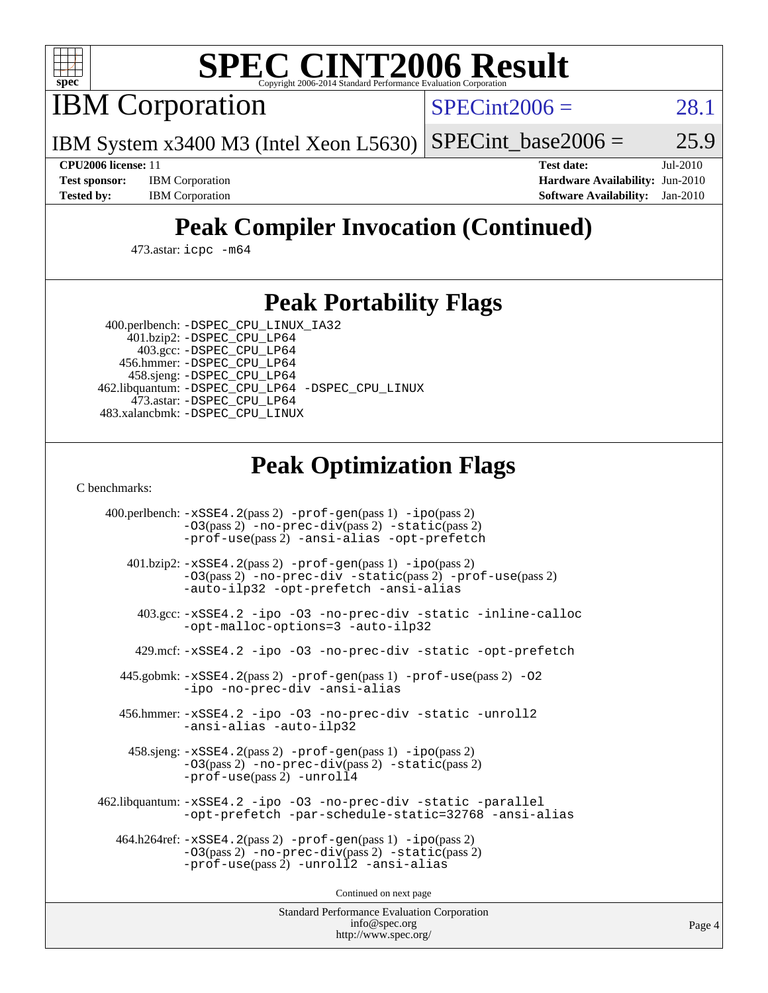

# **[SPEC CINT2006 Result](http://www.spec.org/auto/cpu2006/Docs/result-fields.html#SPECCINT2006Result)**

IBM Corporation

 $SPECint2006 = 28.1$  $SPECint2006 = 28.1$ 

IBM System x3400 M3 (Intel Xeon L5630)  $SPECTnt_base2006 = 25.9$ 

**[CPU2006 license:](http://www.spec.org/auto/cpu2006/Docs/result-fields.html#CPU2006license)** 11 **[Test date:](http://www.spec.org/auto/cpu2006/Docs/result-fields.html#Testdate)** Jul-2010 **[Test sponsor:](http://www.spec.org/auto/cpu2006/Docs/result-fields.html#Testsponsor)** IBM Corporation **[Hardware Availability:](http://www.spec.org/auto/cpu2006/Docs/result-fields.html#HardwareAvailability)** Jun-2010 **[Tested by:](http://www.spec.org/auto/cpu2006/Docs/result-fields.html#Testedby)** IBM Corporation **[Software Availability:](http://www.spec.org/auto/cpu2006/Docs/result-fields.html#SoftwareAvailability)** Jan-2010

# **[Peak Compiler Invocation \(Continued\)](http://www.spec.org/auto/cpu2006/Docs/result-fields.html#PeakCompilerInvocation)**

473.astar: [icpc -m64](http://www.spec.org/cpu2006/results/res2010q3/cpu2006-20100802-12722.flags.html#user_peakCXXLD473_astar_intel_icpc_64bit_fc66a5337ce925472a5c54ad6a0de310)

## **[Peak Portability Flags](http://www.spec.org/auto/cpu2006/Docs/result-fields.html#PeakPortabilityFlags)**

 400.perlbench: [-DSPEC\\_CPU\\_LINUX\\_IA32](http://www.spec.org/cpu2006/results/res2010q3/cpu2006-20100802-12722.flags.html#b400.perlbench_peakCPORTABILITY_DSPEC_CPU_LINUX_IA32) 401.bzip2: [-DSPEC\\_CPU\\_LP64](http://www.spec.org/cpu2006/results/res2010q3/cpu2006-20100802-12722.flags.html#suite_peakPORTABILITY401_bzip2_DSPEC_CPU_LP64)

 403.gcc: [-DSPEC\\_CPU\\_LP64](http://www.spec.org/cpu2006/results/res2010q3/cpu2006-20100802-12722.flags.html#suite_peakPORTABILITY403_gcc_DSPEC_CPU_LP64) 456.hmmer: [-DSPEC\\_CPU\\_LP64](http://www.spec.org/cpu2006/results/res2010q3/cpu2006-20100802-12722.flags.html#suite_peakPORTABILITY456_hmmer_DSPEC_CPU_LP64) 458.sjeng: [-DSPEC\\_CPU\\_LP64](http://www.spec.org/cpu2006/results/res2010q3/cpu2006-20100802-12722.flags.html#suite_peakPORTABILITY458_sjeng_DSPEC_CPU_LP64) 462.libquantum: [-DSPEC\\_CPU\\_LP64](http://www.spec.org/cpu2006/results/res2010q3/cpu2006-20100802-12722.flags.html#suite_peakPORTABILITY462_libquantum_DSPEC_CPU_LP64) [-DSPEC\\_CPU\\_LINUX](http://www.spec.org/cpu2006/results/res2010q3/cpu2006-20100802-12722.flags.html#b462.libquantum_peakCPORTABILITY_DSPEC_CPU_LINUX) 473.astar: [-DSPEC\\_CPU\\_LP64](http://www.spec.org/cpu2006/results/res2010q3/cpu2006-20100802-12722.flags.html#suite_peakPORTABILITY473_astar_DSPEC_CPU_LP64) 483.xalancbmk: [-DSPEC\\_CPU\\_LINUX](http://www.spec.org/cpu2006/results/res2010q3/cpu2006-20100802-12722.flags.html#b483.xalancbmk_peakCXXPORTABILITY_DSPEC_CPU_LINUX)

## **[Peak Optimization Flags](http://www.spec.org/auto/cpu2006/Docs/result-fields.html#PeakOptimizationFlags)**

[C benchmarks](http://www.spec.org/auto/cpu2006/Docs/result-fields.html#Cbenchmarks):

 400.perlbench: [-xSSE4.2](http://www.spec.org/cpu2006/results/res2010q3/cpu2006-20100802-12722.flags.html#user_peakPASS2_CFLAGSPASS2_LDCFLAGS400_perlbench_f-xSSE42_f91528193cf0b216347adb8b939d4107)(pass 2) [-prof-gen](http://www.spec.org/cpu2006/results/res2010q3/cpu2006-20100802-12722.flags.html#user_peakPASS1_CFLAGSPASS1_LDCFLAGS400_perlbench_prof_gen_e43856698f6ca7b7e442dfd80e94a8fc)(pass 1) [-ipo](http://www.spec.org/cpu2006/results/res2010q3/cpu2006-20100802-12722.flags.html#user_peakPASS2_CFLAGSPASS2_LDCFLAGS400_perlbench_f-ipo)(pass 2) [-O3](http://www.spec.org/cpu2006/results/res2010q3/cpu2006-20100802-12722.flags.html#user_peakPASS2_CFLAGSPASS2_LDCFLAGS400_perlbench_f-O3)(pass 2) [-no-prec-div](http://www.spec.org/cpu2006/results/res2010q3/cpu2006-20100802-12722.flags.html#user_peakPASS2_CFLAGSPASS2_LDCFLAGS400_perlbench_f-no-prec-div)(pass 2) [-static](http://www.spec.org/cpu2006/results/res2010q3/cpu2006-20100802-12722.flags.html#user_peakPASS2_CFLAGSPASS2_LDCFLAGS400_perlbench_f-static)(pass 2) [-prof-use](http://www.spec.org/cpu2006/results/res2010q3/cpu2006-20100802-12722.flags.html#user_peakPASS2_CFLAGSPASS2_LDCFLAGS400_perlbench_prof_use_bccf7792157ff70d64e32fe3e1250b55)(pass 2) [-ansi-alias](http://www.spec.org/cpu2006/results/res2010q3/cpu2006-20100802-12722.flags.html#user_peakCOPTIMIZE400_perlbench_f-ansi-alias) [-opt-prefetch](http://www.spec.org/cpu2006/results/res2010q3/cpu2006-20100802-12722.flags.html#user_peakCOPTIMIZE400_perlbench_f-opt-prefetch) 401.bzip2: [-xSSE4.2](http://www.spec.org/cpu2006/results/res2010q3/cpu2006-20100802-12722.flags.html#user_peakPASS2_CFLAGSPASS2_LDCFLAGS401_bzip2_f-xSSE42_f91528193cf0b216347adb8b939d4107)(pass 2) [-prof-gen](http://www.spec.org/cpu2006/results/res2010q3/cpu2006-20100802-12722.flags.html#user_peakPASS1_CFLAGSPASS1_LDCFLAGS401_bzip2_prof_gen_e43856698f6ca7b7e442dfd80e94a8fc)(pass 1) [-ipo](http://www.spec.org/cpu2006/results/res2010q3/cpu2006-20100802-12722.flags.html#user_peakPASS2_CFLAGSPASS2_LDCFLAGS401_bzip2_f-ipo)(pass 2) [-O3](http://www.spec.org/cpu2006/results/res2010q3/cpu2006-20100802-12722.flags.html#user_peakPASS2_CFLAGSPASS2_LDCFLAGS401_bzip2_f-O3)(pass 2) [-no-prec-div](http://www.spec.org/cpu2006/results/res2010q3/cpu2006-20100802-12722.flags.html#user_peakCOPTIMIZEPASS2_CFLAGSPASS2_LDCFLAGS401_bzip2_f-no-prec-div) [-static](http://www.spec.org/cpu2006/results/res2010q3/cpu2006-20100802-12722.flags.html#user_peakPASS2_CFLAGSPASS2_LDCFLAGS401_bzip2_f-static)(pass 2) [-prof-use](http://www.spec.org/cpu2006/results/res2010q3/cpu2006-20100802-12722.flags.html#user_peakPASS2_CFLAGSPASS2_LDCFLAGS401_bzip2_prof_use_bccf7792157ff70d64e32fe3e1250b55)(pass 2) [-auto-ilp32](http://www.spec.org/cpu2006/results/res2010q3/cpu2006-20100802-12722.flags.html#user_peakCOPTIMIZE401_bzip2_f-auto-ilp32) [-opt-prefetch](http://www.spec.org/cpu2006/results/res2010q3/cpu2006-20100802-12722.flags.html#user_peakCOPTIMIZE401_bzip2_f-opt-prefetch) [-ansi-alias](http://www.spec.org/cpu2006/results/res2010q3/cpu2006-20100802-12722.flags.html#user_peakCOPTIMIZE401_bzip2_f-ansi-alias) 403.gcc: [-xSSE4.2](http://www.spec.org/cpu2006/results/res2010q3/cpu2006-20100802-12722.flags.html#user_peakCOPTIMIZE403_gcc_f-xSSE42_f91528193cf0b216347adb8b939d4107) [-ipo](http://www.spec.org/cpu2006/results/res2010q3/cpu2006-20100802-12722.flags.html#user_peakCOPTIMIZE403_gcc_f-ipo) [-O3](http://www.spec.org/cpu2006/results/res2010q3/cpu2006-20100802-12722.flags.html#user_peakCOPTIMIZE403_gcc_f-O3) [-no-prec-div](http://www.spec.org/cpu2006/results/res2010q3/cpu2006-20100802-12722.flags.html#user_peakCOPTIMIZE403_gcc_f-no-prec-div) [-static](http://www.spec.org/cpu2006/results/res2010q3/cpu2006-20100802-12722.flags.html#user_peakCOPTIMIZE403_gcc_f-static) [-inline-calloc](http://www.spec.org/cpu2006/results/res2010q3/cpu2006-20100802-12722.flags.html#user_peakCOPTIMIZE403_gcc_f-inline-calloc) [-opt-malloc-options=3](http://www.spec.org/cpu2006/results/res2010q3/cpu2006-20100802-12722.flags.html#user_peakCOPTIMIZE403_gcc_f-opt-malloc-options_13ab9b803cf986b4ee62f0a5998c2238) [-auto-ilp32](http://www.spec.org/cpu2006/results/res2010q3/cpu2006-20100802-12722.flags.html#user_peakCOPTIMIZE403_gcc_f-auto-ilp32) 429.mcf: [-xSSE4.2](http://www.spec.org/cpu2006/results/res2010q3/cpu2006-20100802-12722.flags.html#user_peakCOPTIMIZE429_mcf_f-xSSE42_f91528193cf0b216347adb8b939d4107) [-ipo](http://www.spec.org/cpu2006/results/res2010q3/cpu2006-20100802-12722.flags.html#user_peakCOPTIMIZE429_mcf_f-ipo) [-O3](http://www.spec.org/cpu2006/results/res2010q3/cpu2006-20100802-12722.flags.html#user_peakCOPTIMIZE429_mcf_f-O3) [-no-prec-div](http://www.spec.org/cpu2006/results/res2010q3/cpu2006-20100802-12722.flags.html#user_peakCOPTIMIZE429_mcf_f-no-prec-div) [-static](http://www.spec.org/cpu2006/results/res2010q3/cpu2006-20100802-12722.flags.html#user_peakCOPTIMIZE429_mcf_f-static) [-opt-prefetch](http://www.spec.org/cpu2006/results/res2010q3/cpu2006-20100802-12722.flags.html#user_peakCOPTIMIZE429_mcf_f-opt-prefetch) 445.gobmk: [-xSSE4.2](http://www.spec.org/cpu2006/results/res2010q3/cpu2006-20100802-12722.flags.html#user_peakPASS2_CFLAGSPASS2_LDCFLAGS445_gobmk_f-xSSE42_f91528193cf0b216347adb8b939d4107)(pass 2) [-prof-gen](http://www.spec.org/cpu2006/results/res2010q3/cpu2006-20100802-12722.flags.html#user_peakPASS1_CFLAGSPASS1_LDCFLAGS445_gobmk_prof_gen_e43856698f6ca7b7e442dfd80e94a8fc)(pass 1) [-prof-use](http://www.spec.org/cpu2006/results/res2010q3/cpu2006-20100802-12722.flags.html#user_peakPASS2_CFLAGSPASS2_LDCFLAGS445_gobmk_prof_use_bccf7792157ff70d64e32fe3e1250b55)(pass 2) [-O2](http://www.spec.org/cpu2006/results/res2010q3/cpu2006-20100802-12722.flags.html#user_peakCOPTIMIZE445_gobmk_f-O2) [-ipo](http://www.spec.org/cpu2006/results/res2010q3/cpu2006-20100802-12722.flags.html#user_peakCOPTIMIZE445_gobmk_f-ipo) [-no-prec-div](http://www.spec.org/cpu2006/results/res2010q3/cpu2006-20100802-12722.flags.html#user_peakCOPTIMIZE445_gobmk_f-no-prec-div) [-ansi-alias](http://www.spec.org/cpu2006/results/res2010q3/cpu2006-20100802-12722.flags.html#user_peakCOPTIMIZE445_gobmk_f-ansi-alias) 456.hmmer: [-xSSE4.2](http://www.spec.org/cpu2006/results/res2010q3/cpu2006-20100802-12722.flags.html#user_peakCOPTIMIZE456_hmmer_f-xSSE42_f91528193cf0b216347adb8b939d4107) [-ipo](http://www.spec.org/cpu2006/results/res2010q3/cpu2006-20100802-12722.flags.html#user_peakCOPTIMIZE456_hmmer_f-ipo) [-O3](http://www.spec.org/cpu2006/results/res2010q3/cpu2006-20100802-12722.flags.html#user_peakCOPTIMIZE456_hmmer_f-O3) [-no-prec-div](http://www.spec.org/cpu2006/results/res2010q3/cpu2006-20100802-12722.flags.html#user_peakCOPTIMIZE456_hmmer_f-no-prec-div) [-static](http://www.spec.org/cpu2006/results/res2010q3/cpu2006-20100802-12722.flags.html#user_peakCOPTIMIZE456_hmmer_f-static) [-unroll2](http://www.spec.org/cpu2006/results/res2010q3/cpu2006-20100802-12722.flags.html#user_peakCOPTIMIZE456_hmmer_f-unroll_784dae83bebfb236979b41d2422d7ec2) [-ansi-alias](http://www.spec.org/cpu2006/results/res2010q3/cpu2006-20100802-12722.flags.html#user_peakCOPTIMIZE456_hmmer_f-ansi-alias) [-auto-ilp32](http://www.spec.org/cpu2006/results/res2010q3/cpu2006-20100802-12722.flags.html#user_peakCOPTIMIZE456_hmmer_f-auto-ilp32) 458.sjeng: [-xSSE4.2](http://www.spec.org/cpu2006/results/res2010q3/cpu2006-20100802-12722.flags.html#user_peakPASS2_CFLAGSPASS2_LDCFLAGS458_sjeng_f-xSSE42_f91528193cf0b216347adb8b939d4107)(pass 2) [-prof-gen](http://www.spec.org/cpu2006/results/res2010q3/cpu2006-20100802-12722.flags.html#user_peakPASS1_CFLAGSPASS1_LDCFLAGS458_sjeng_prof_gen_e43856698f6ca7b7e442dfd80e94a8fc)(pass 1) [-ipo](http://www.spec.org/cpu2006/results/res2010q3/cpu2006-20100802-12722.flags.html#user_peakPASS2_CFLAGSPASS2_LDCFLAGS458_sjeng_f-ipo)(pass 2) [-O3](http://www.spec.org/cpu2006/results/res2010q3/cpu2006-20100802-12722.flags.html#user_peakPASS2_CFLAGSPASS2_LDCFLAGS458_sjeng_f-O3)(pass 2) [-no-prec-div](http://www.spec.org/cpu2006/results/res2010q3/cpu2006-20100802-12722.flags.html#user_peakPASS2_CFLAGSPASS2_LDCFLAGS458_sjeng_f-no-prec-div)(pass 2) [-static](http://www.spec.org/cpu2006/results/res2010q3/cpu2006-20100802-12722.flags.html#user_peakPASS2_CFLAGSPASS2_LDCFLAGS458_sjeng_f-static)(pass 2) [-prof-use](http://www.spec.org/cpu2006/results/res2010q3/cpu2006-20100802-12722.flags.html#user_peakPASS2_CFLAGSPASS2_LDCFLAGS458_sjeng_prof_use_bccf7792157ff70d64e32fe3e1250b55)(pass 2) [-unroll4](http://www.spec.org/cpu2006/results/res2010q3/cpu2006-20100802-12722.flags.html#user_peakCOPTIMIZE458_sjeng_f-unroll_4e5e4ed65b7fd20bdcd365bec371b81f) 462.libquantum: [-xSSE4.2](http://www.spec.org/cpu2006/results/res2010q3/cpu2006-20100802-12722.flags.html#user_peakCOPTIMIZE462_libquantum_f-xSSE42_f91528193cf0b216347adb8b939d4107) [-ipo](http://www.spec.org/cpu2006/results/res2010q3/cpu2006-20100802-12722.flags.html#user_peakCOPTIMIZE462_libquantum_f-ipo) [-O3](http://www.spec.org/cpu2006/results/res2010q3/cpu2006-20100802-12722.flags.html#user_peakCOPTIMIZE462_libquantum_f-O3) [-no-prec-div](http://www.spec.org/cpu2006/results/res2010q3/cpu2006-20100802-12722.flags.html#user_peakCOPTIMIZE462_libquantum_f-no-prec-div) [-static](http://www.spec.org/cpu2006/results/res2010q3/cpu2006-20100802-12722.flags.html#user_peakCOPTIMIZE462_libquantum_f-static) [-parallel](http://www.spec.org/cpu2006/results/res2010q3/cpu2006-20100802-12722.flags.html#user_peakCOPTIMIZE462_libquantum_f-parallel) [-opt-prefetch](http://www.spec.org/cpu2006/results/res2010q3/cpu2006-20100802-12722.flags.html#user_peakCOPTIMIZE462_libquantum_f-opt-prefetch) [-par-schedule-static=32768](http://www.spec.org/cpu2006/results/res2010q3/cpu2006-20100802-12722.flags.html#user_peakCOPTIMIZE462_libquantum_f-par-schedule_9386bcd99ba64e99ee01d1aafefddd14) [-ansi-alias](http://www.spec.org/cpu2006/results/res2010q3/cpu2006-20100802-12722.flags.html#user_peakCOPTIMIZE462_libquantum_f-ansi-alias) 464.h264ref: [-xSSE4.2](http://www.spec.org/cpu2006/results/res2010q3/cpu2006-20100802-12722.flags.html#user_peakPASS2_CFLAGSPASS2_LDCFLAGS464_h264ref_f-xSSE42_f91528193cf0b216347adb8b939d4107)(pass 2) [-prof-gen](http://www.spec.org/cpu2006/results/res2010q3/cpu2006-20100802-12722.flags.html#user_peakPASS1_CFLAGSPASS1_LDCFLAGS464_h264ref_prof_gen_e43856698f6ca7b7e442dfd80e94a8fc)(pass 1) [-ipo](http://www.spec.org/cpu2006/results/res2010q3/cpu2006-20100802-12722.flags.html#user_peakPASS2_CFLAGSPASS2_LDCFLAGS464_h264ref_f-ipo)(pass 2) [-O3](http://www.spec.org/cpu2006/results/res2010q3/cpu2006-20100802-12722.flags.html#user_peakPASS2_CFLAGSPASS2_LDCFLAGS464_h264ref_f-O3)(pass 2) [-no-prec-div](http://www.spec.org/cpu2006/results/res2010q3/cpu2006-20100802-12722.flags.html#user_peakPASS2_CFLAGSPASS2_LDCFLAGS464_h264ref_f-no-prec-div)(pass 2) [-static](http://www.spec.org/cpu2006/results/res2010q3/cpu2006-20100802-12722.flags.html#user_peakPASS2_CFLAGSPASS2_LDCFLAGS464_h264ref_f-static)(pass 2) [-prof-use](http://www.spec.org/cpu2006/results/res2010q3/cpu2006-20100802-12722.flags.html#user_peakPASS2_CFLAGSPASS2_LDCFLAGS464_h264ref_prof_use_bccf7792157ff70d64e32fe3e1250b55)(pass 2) [-unroll2](http://www.spec.org/cpu2006/results/res2010q3/cpu2006-20100802-12722.flags.html#user_peakCOPTIMIZE464_h264ref_f-unroll_784dae83bebfb236979b41d2422d7ec2) [-ansi-alias](http://www.spec.org/cpu2006/results/res2010q3/cpu2006-20100802-12722.flags.html#user_peakCOPTIMIZE464_h264ref_f-ansi-alias)

Continued on next page

Standard Performance Evaluation Corporation [info@spec.org](mailto:info@spec.org) <http://www.spec.org/>